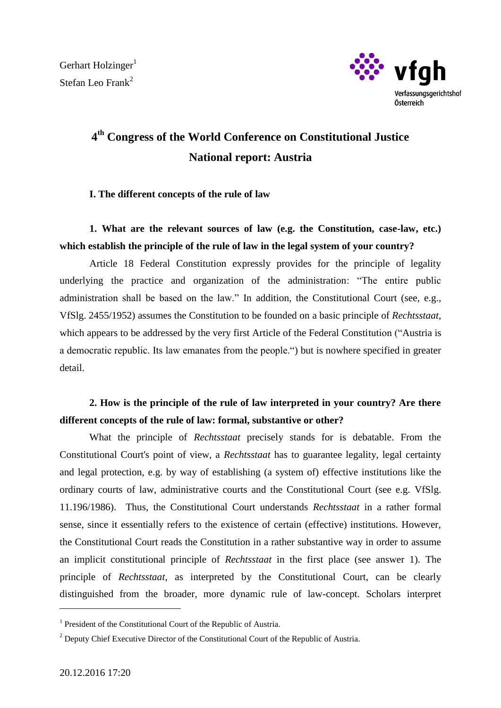

# **4 th Congress of the World Conference on Constitutional Justice National report: Austria**

#### **I. The different concepts of the rule of law**

# **1. What are the relevant sources of law (e.g. the Constitution, case-law, etc.) which establish the principle of the rule of law in the legal system of your country?**

Article 18 Federal Constitution expressly provides for the principle of legality underlying the practice and organization of the administration: "The entire public administration shall be based on the law." In addition, the Constitutional Court (see, e.g., VfSlg. 2455/1952) assumes the Constitution to be founded on a basic principle of *Rechtsstaat*, which appears to be addressed by the very first Article of the Federal Constitution ("Austria is a democratic republic. Its law emanates from the people.") but is nowhere specified in greater detail.

# **2. How is the principle of the rule of law interpreted in your country? Are there different concepts of the rule of law: formal, substantive or other?**

What the principle of *Rechtsstaat* precisely stands for is debatable. From the Constitutional Court's point of view, a *Rechtsstaat* has to guarantee legality, legal certainty and legal protection, e.g. by way of establishing (a system of) effective institutions like the ordinary courts of law, administrative courts and the Constitutional Court (see e.g. VfSlg. 11.196/1986). Thus, the Constitutional Court understands *Rechtsstaat* in a rather formal sense, since it essentially refers to the existence of certain (effective) institutions. However, the Constitutional Court reads the Constitution in a rather substantive way in order to assume an implicit constitutional principle of *Rechtsstaat* in the first place (see answer 1). The principle of *Rechtsstaat*, as interpreted by the Constitutional Court, can be clearly distinguished from the broader, more dynamic rule of law-concept. Scholars interpret

 $\overline{a}$ 

<sup>&</sup>lt;sup>1</sup> President of the Constitutional Court of the Republic of Austria.

<sup>&</sup>lt;sup>2</sup> Deputy Chief Executive Director of the Constitutional Court of the Republic of Austria.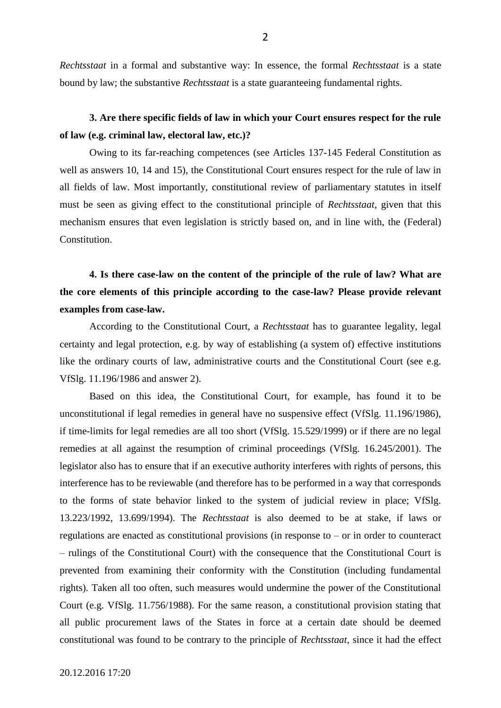*Rechtsstaat* in a formal and substantive way: In essence, the formal *Rechtsstaat* is a state bound by law; the substantive *Rechtsstaat* is a state guaranteeing fundamental rights.

### **3. Are there specific fields of law in which your Court ensures respect for the rule of law (e.g. criminal law, electoral law, etc.)?**

Owing to its far-reaching competences (see Articles 137-145 Federal Constitution as well as answers 10, 14 and 15), the Constitutional Court ensures respect for the rule of law in all fields of law. Most importantly, constitutional review of parliamentary statutes in itself must be seen as giving effect to the constitutional principle of *Rechtsstaat*, given that this mechanism ensures that even legislation is strictly based on, and in line with, the (Federal) **Constitution** 

# **4. Is there case-law on the content of the principle of the rule of law? What are the core elements of this principle according to the case-law? Please provide relevant examples from case-law.**

According to the Constitutional Court, a *Rechtsstaat* has to guarantee legality, legal certainty and legal protection, e.g. by way of establishing (a system of) effective institutions like the ordinary courts of law, administrative courts and the Constitutional Court (see e.g. VfSlg. 11.196/1986 and answer 2).

Based on this idea, the Constitutional Court, for example, has found it to be unconstitutional if legal remedies in general have no suspensive effect (VfSlg. 11.196/1986), if time-limits for legal remedies are all too short (VfSlg. 15.529/1999) or if there are no legal remedies at all against the resumption of criminal proceedings (VfSlg. 16.245/2001). The legislator also has to ensure that if an executive authority interferes with rights of persons, this interference has to be reviewable (and therefore has to be performed in a way that corresponds to the forms of state behavior linked to the system of judicial review in place; VfSlg. 13.223/1992, 13.699/1994). The *Rechtsstaat* is also deemed to be at stake, if laws or regulations are enacted as constitutional provisions (in response to – or in order to counteract – rulings of the Constitutional Court) with the consequence that the Constitutional Court is prevented from examining their conformity with the Constitution (including fundamental rights). Taken all too often, such measures would undermine the power of the Constitutional Court (e.g. VfSlg. 11.756/1988). For the same reason, a constitutional provision stating that all public procurement laws of the States in force at a certain date should be deemed constitutional was found to be contrary to the principle of *Rechtsstaat*, since it had the effect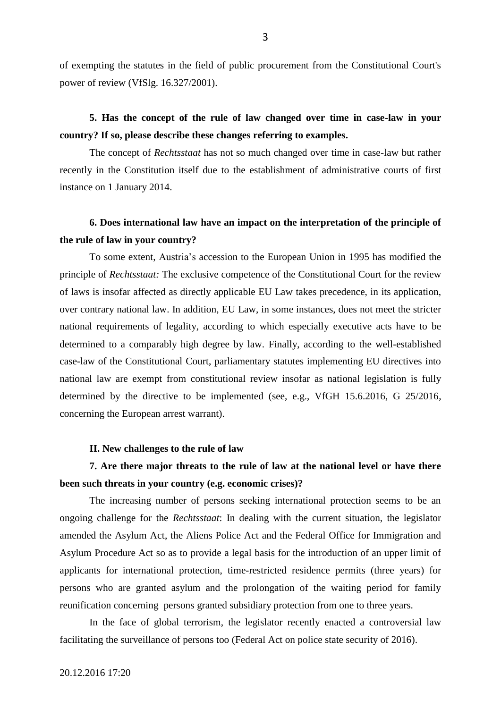of exempting the statutes in the field of public procurement from the Constitutional Court's power of review (VfSlg. 16.327/2001).

### **5. Has the concept of the rule of law changed over time in case-law in your country? If so, please describe these changes referring to examples.**

The concept of *Rechtsstaat* has not so much changed over time in case-law but rather recently in the Constitution itself due to the establishment of administrative courts of first instance on 1 January 2014.

### **6. Does international law have an impact on the interpretation of the principle of the rule of law in your country?**

To some extent, Austria's accession to the European Union in 1995 has modified the principle of *Rechtsstaat:* The exclusive competence of the Constitutional Court for the review of laws is insofar affected as directly applicable EU Law takes precedence, in its application, over contrary national law. In addition, EU Law, in some instances, does not meet the stricter national requirements of legality, according to which especially executive acts have to be determined to a comparably high degree by law. Finally, according to the well-established case-law of the Constitutional Court, parliamentary statutes implementing EU directives into national law are exempt from constitutional review insofar as national legislation is fully determined by the directive to be implemented (see, e.g., VfGH 15.6.2016, G 25/2016, concerning the European arrest warrant).

#### **II. New challenges to the rule of law**

### **7. Are there major threats to the rule of law at the national level or have there been such threats in your country (e.g. economic crises)?**

The increasing number of persons seeking international protection seems to be an ongoing challenge for the *Rechtsstaat*: In dealing with the current situation, the legislator amended the Asylum Act, the Aliens Police Act and the Federal Office for Immigration and Asylum Procedure Act so as to provide a legal basis for the introduction of an upper limit of applicants for international protection, time-restricted residence permits (three years) for persons who are granted asylum and the prolongation of the waiting period for family reunification concerning persons granted subsidiary protection from one to three years.

In the face of global terrorism, the legislator recently enacted a controversial law facilitating the surveillance of persons too (Federal Act on police state security of 2016).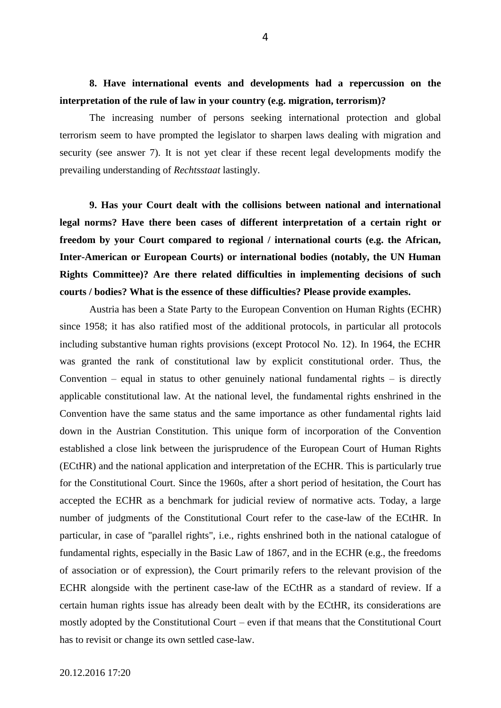**8. Have international events and developments had a repercussion on the interpretation of the rule of law in your country (e.g. migration, terrorism)?**

The increasing number of persons seeking international protection and global terrorism seem to have prompted the legislator to sharpen laws dealing with migration and security (see answer 7). It is not yet clear if these recent legal developments modify the prevailing understanding of *Rechtsstaat* lastingly.

**9. Has your Court dealt with the collisions between national and international legal norms? Have there been cases of different interpretation of a certain right or freedom by your Court compared to regional / international courts (e.g. the African, Inter-American or European Courts) or international bodies (notably, the UN Human Rights Committee)? Are there related difficulties in implementing decisions of such courts / bodies? What is the essence of these difficulties? Please provide examples.**

Austria has been a State Party to the European Convention on Human Rights (ECHR) since 1958; it has also ratified most of the additional protocols, in particular all protocols including substantive human rights provisions (except Protocol No. 12). In 1964, the ECHR was granted the rank of constitutional law by explicit constitutional order. Thus, the Convention – equal in status to other genuinely national fundamental rights – is directly applicable constitutional law. At the national level, the fundamental rights enshrined in the Convention have the same status and the same importance as other fundamental rights laid down in the Austrian Constitution. This unique form of incorporation of the Convention established a close link between the jurisprudence of the European Court of Human Rights (ECtHR) and the national application and interpretation of the ECHR. This is particularly true for the Constitutional Court. Since the 1960s, after a short period of hesitation, the Court has accepted the ECHR as a benchmark for judicial review of normative acts. Today, a large number of judgments of the Constitutional Court refer to the case-law of the ECtHR. In particular, in case of "parallel rights", i.e., rights enshrined both in the national catalogue of fundamental rights, especially in the Basic Law of 1867, and in the ECHR (e.g., the freedoms of association or of expression), the Court primarily refers to the relevant provision of the ECHR alongside with the pertinent case-law of the ECtHR as a standard of review. If a certain human rights issue has already been dealt with by the ECtHR, its considerations are mostly adopted by the Constitutional Court – even if that means that the Constitutional Court has to revisit or change its own settled case-law.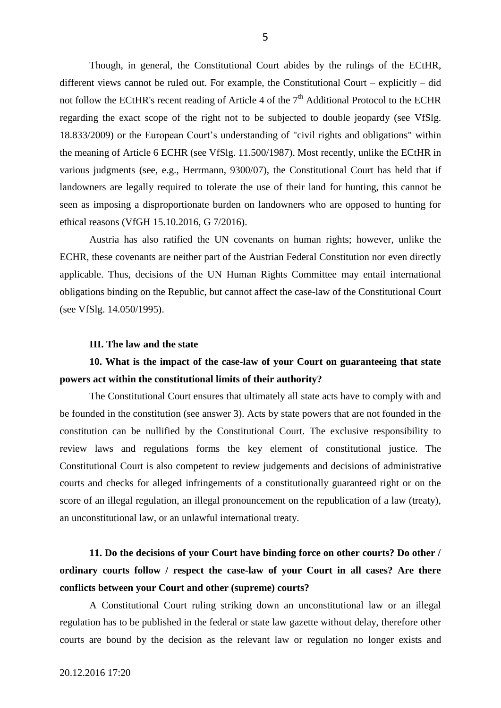Though, in general, the Constitutional Court abides by the rulings of the ECtHR, different views cannot be ruled out. For example, the Constitutional Court – explicitly – did not follow the ECtHR's recent reading of Article 4 of the  $7<sup>th</sup>$  Additional Protocol to the ECHR regarding the exact scope of the right not to be subjected to double jeopardy (see VfSlg. 18.833/2009) or the European Court's understanding of "civil rights and obligations" within the meaning of Article 6 ECHR (see VfSlg. 11.500/1987). Most recently, unlike the ECtHR in various judgments (see, e.g., Herrmann, 9300/07), the Constitutional Court has held that if landowners are legally required to tolerate the use of their land for hunting, this cannot be seen as imposing a disproportionate burden on landowners who are opposed to hunting for ethical reasons (VfGH 15.10.2016, G 7/2016).

Austria has also ratified the UN covenants on human rights; however, unlike the ECHR, these covenants are neither part of the Austrian Federal Constitution nor even directly applicable. Thus, decisions of the UN Human Rights Committee may entail international obligations binding on the Republic, but cannot affect the case-law of the Constitutional Court (see VfSlg. 14.050/1995).

#### **III. The law and the state**

### **10. What is the impact of the case-law of your Court on guaranteeing that state powers act within the constitutional limits of their authority?**

The Constitutional Court ensures that ultimately all state acts have to comply with and be founded in the constitution (see answer 3). Acts by state powers that are not founded in the constitution can be nullified by the Constitutional Court. The exclusive responsibility to review laws and regulations forms the key element of constitutional justice. The Constitutional Court is also competent to review judgements and decisions of administrative courts and checks for alleged infringements of a constitutionally guaranteed right or on the score of an illegal regulation, an illegal pronouncement on the republication of a law (treaty), an unconstitutional law, or an unlawful international treaty.

# **11. Do the decisions of your Court have binding force on other courts? Do other / ordinary courts follow / respect the case-law of your Court in all cases? Are there conflicts between your Court and other (supreme) courts?**

A Constitutional Court ruling striking down an unconstitutional law or an illegal regulation has to be published in the federal or state law gazette without delay, therefore other courts are bound by the decision as the relevant law or regulation no longer exists and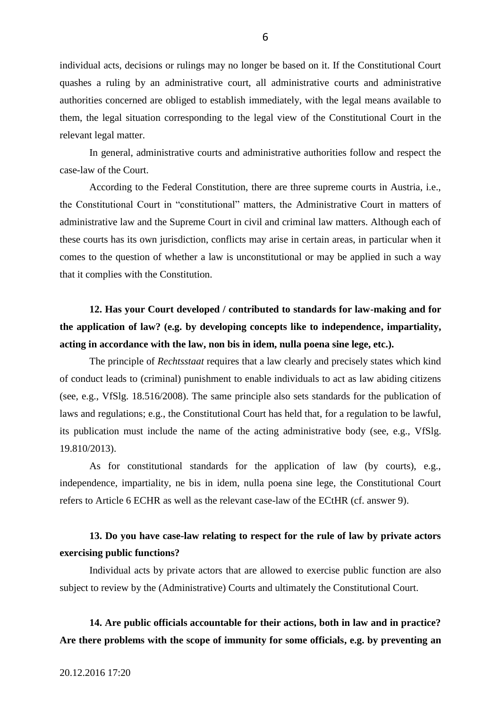individual acts, decisions or rulings may no longer be based on it. If the Constitutional Court quashes a ruling by an administrative court, all administrative courts and administrative authorities concerned are obliged to establish immediately, with the legal means available to them, the legal situation corresponding to the legal view of the Constitutional Court in the relevant legal matter.

In general, administrative courts and administrative authorities follow and respect the case-law of the Court.

According to the Federal Constitution, there are three supreme courts in Austria, i.e., the Constitutional Court in "constitutional" matters, the Administrative Court in matters of administrative law and the Supreme Court in civil and criminal law matters. Although each of these courts has its own jurisdiction, conflicts may arise in certain areas, in particular when it comes to the question of whether a law is unconstitutional or may be applied in such a way that it complies with the Constitution.

**12. Has your Court developed / contributed to standards for law-making and for the application of law? (e.g. by developing concepts like to independence, impartiality, acting in accordance with the law, non bis in idem, nulla poena sine lege, etc.).**

The principle of *Rechtsstaat* requires that a law clearly and precisely states which kind of conduct leads to (criminal) punishment to enable individuals to act as law abiding citizens (see, e.g., VfSlg. 18.516/2008). The same principle also sets standards for the publication of laws and regulations; e.g., the Constitutional Court has held that, for a regulation to be lawful, its publication must include the name of the acting administrative body (see, e.g., VfSlg. 19.810/2013).

As for constitutional standards for the application of law (by courts), e.g., independence, impartiality, ne bis in idem, nulla poena sine lege, the Constitutional Court refers to Article 6 ECHR as well as the relevant case-law of the ECtHR (cf. answer 9).

### **13. Do you have case-law relating to respect for the rule of law by private actors exercising public functions?**

Individual acts by private actors that are allowed to exercise public function are also subject to review by the (Administrative) Courts and ultimately the Constitutional Court.

### **14. Are public officials accountable for their actions, both in law and in practice? Are there problems with the scope of immunity for some officials, e.g. by preventing an**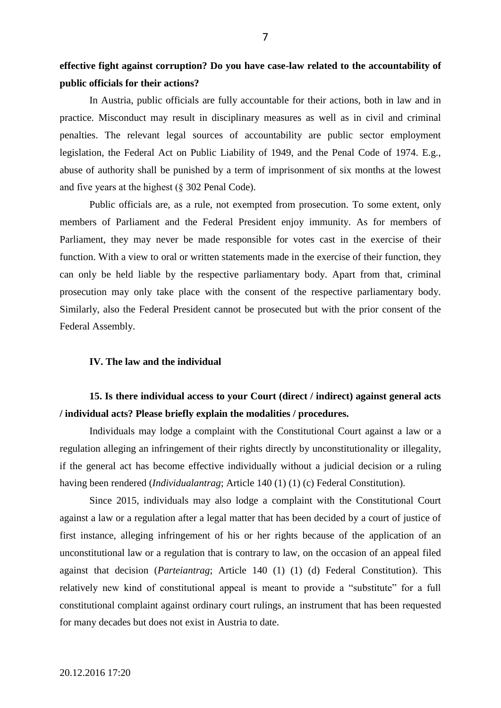**effective fight against corruption? Do you have case-law related to the accountability of public officials for their actions?**

In Austria, public officials are fully accountable for their actions, both in law and in practice. Misconduct may result in disciplinary measures as well as in civil and criminal penalties. The relevant legal sources of accountability are public sector employment legislation, the Federal Act on Public Liability of 1949, and the Penal Code of 1974. E.g., abuse of authority shall be punished by a term of imprisonment of six months at the lowest and five years at the highest (§ 302 Penal Code).

Public officials are, as a rule, not exempted from prosecution. To some extent, only members of Parliament and the Federal President enjoy immunity. As for members of Parliament, they may never be made responsible for votes cast in the exercise of their function. With a view to oral or written statements made in the exercise of their function, they can only be held liable by the respective parliamentary body. Apart from that, criminal prosecution may only take place with the consent of the respective parliamentary body. Similarly, also the Federal President cannot be prosecuted but with the prior consent of the Federal Assembly.

#### **IV. The law and the individual**

### **15. Is there individual access to your Court (direct / indirect) against general acts / individual acts? Please briefly explain the modalities / procedures.**

Individuals may lodge a complaint with the Constitutional Court against a law or a regulation alleging an infringement of their rights directly by unconstitutionality or illegality, if the general act has become effective individually without a judicial decision or a ruling having been rendered (*Individualantrag*; Article 140 (1) (1) (c) Federal Constitution).

Since 2015, individuals may also lodge a complaint with the Constitutional Court against a law or a regulation after a legal matter that has been decided by a court of justice of first instance, alleging infringement of his or her rights because of the application of an unconstitutional law or a regulation that is contrary to law, on the occasion of an appeal filed against that decision (*Parteiantrag*; Article 140 (1) (1) (d) Federal Constitution). This relatively new kind of constitutional appeal is meant to provide a "substitute" for a full constitutional complaint against ordinary court rulings, an instrument that has been requested for many decades but does not exist in Austria to date.